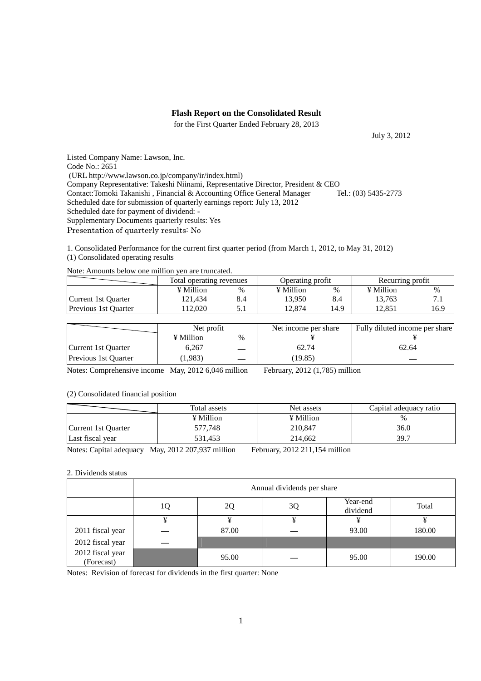## **Flash Report on the Consolidated Result**

for the First Quarter Ended February 28, 2013

July 3, 2012

Listed Company Name: Lawson, Inc. Code No.: 2651 (URL http://www.lawson.co.jp/company/ir/index.html) Company Representative: Takeshi Niinami, Representative Director, President & CEO<br>Contact: Tomoki Takanishi, Financial & Accounting Office General Manager Tel.: (03) 5435-2773 Contact:Tomoki Takanishi, Financial & Accounting Office General Manager Scheduled date for submission of quarterly earnings report: July 13, 2012 Scheduled date for payment of dividend: - Supplementary Documents quarterly results: Yes Presentation of quarterly results: No

1. Consolidated Performance for the current first quarter period (from March 1, 2012, to May 31, 2012) (1) Consolidated operating results

| Note: Amounts below one million yen are truncated. |  |
|----------------------------------------------------|--|
|----------------------------------------------------|--|

|                             | Total operating revenues |      | Operating profit |      | Recurring profit |      |
|-----------------------------|--------------------------|------|------------------|------|------------------|------|
|                             | $\angle$ Million         | $\%$ | ¥ Million        | %    | ¥ Million        | %    |
| Current 1st Ouarter         | 121.434                  | 8.4  | 13.950           | 8.4  | 13.763           |      |
| <b>Previous 1st Ouarter</b> | 12.020                   |      | 2.874            | 14.9 | 12.851           | 16.9 |

|                             | Net profit |               | Net income per share | Fully diluted income per share |
|-----------------------------|------------|---------------|----------------------|--------------------------------|
|                             | ¥ Million  | $\frac{0}{0}$ |                      |                                |
| Current 1st Ouarter         | 6.267      |               | 62.74                | 62.64                          |
| <b>Previous 1st Quarter</b> | 1,983)     |               | (19.85)              |                                |

Notes: Comprehensive income May, 2012 6,046 million February, 2012 (1,785) million

#### (2) Consolidated financial position

|                     | Total assets | Net assets | Capital adequacy ratio |
|---------------------|--------------|------------|------------------------|
|                     | ¥ Million    | ¥ Million  | $\%$                   |
| Current 1st Quarter | 577.748      | 210,847    | 36.0                   |
| Last fiscal year    | 531.453      | 214,662    | 39.7                   |

Notes: Capital adequacy May, 2012 207,937 million February, 2012 211,154 million

### 2. Dividends status

|                                | Annual dividends per share |       |    |                      |        |
|--------------------------------|----------------------------|-------|----|----------------------|--------|
|                                |                            | 20    | 3Q | Year-end<br>dividend | Total  |
|                                | ¥                          | ¥     | ¥  | ¥                    |        |
| 2011 fiscal year               |                            | 87.00 |    | 93.00                | 180.00 |
| 2012 fiscal year               |                            |       |    |                      |        |
| 2012 fiscal year<br>(Forecast) |                            | 95.00 |    | 95.00                | 190.00 |

Notes: Revision of forecast for dividends in the first quarter: None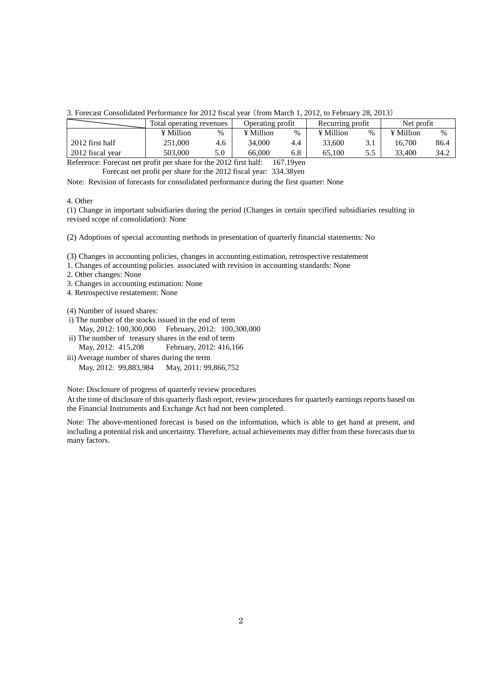#### 3. Forecast Consolidated Performance for 2012 fiscal year (from March 1, 2012, to February 28, 2013)

|                  | Total operating revenues |      | Operating profit |      | Recurring profit |               | Net profit |      |
|------------------|--------------------------|------|------------------|------|------------------|---------------|------------|------|
|                  | ¥ Million                | $\%$ | ¥ Million        | $\%$ | ¥ Million        | $\frac{0}{0}$ | ¥ Million  | %    |
| 2012 first half  | 251,000                  | 4.6  | 34.000           | 4.4  | 33,600           |               | 16.700     | 86.4 |
| 2012 fiscal year | 503.000                  | 5.0  | 66,000           | 6.8  | 65.100           | 5.5           | 33.400     | 34.2 |

Reference: Forecast net profit per share for the 2012 first half: 167.19yen Forecast net profit per share for the 2012 fiscal year: 334.38yen

Note: Revision of forecasts for consolidated performance during the first quarter: None

#### 4. Other

(1) Change in important subsidiaries during the period (Changes in certain specified subsidiaries resulting in revised scope of consolidation): None

(2) Adoptions of special accounting methods in presentation of quarterly financial statements: No

(3) Changes in accounting policies, changes in accounting estimation, retrospective restatement

1. Changes of accounting policies associated with revision in accounting standards: None

2. Other changes: None

3. Changes in accounting estimation: None

4. Retrospective restatement: None

(4) Number of issued shares:

- i) The number of the stocks issued in the end of term May, 2012: 100,300,000 February, 2012: 100,300,000
- ii) The number of treasury shares in the end of term May, 2012: 415,208 February, 2012: 416,166
- iii) Average number of shares during the term May, 2012: 99,883,984 May, 2011: 99,866,752

Note: Disclosure of progress of quarterly review procedures

At the time of disclosure of this quarterly flash report, review procedures for quarterly earnings reports based on the Financial Instruments and Exchange Act had not been completed.

Note: The above-mentioned forecast is based on the information, which is able to get hand at present, and including a potential risk and uncertainty. Therefore, actual achievements may differ from these forecasts due to many factors.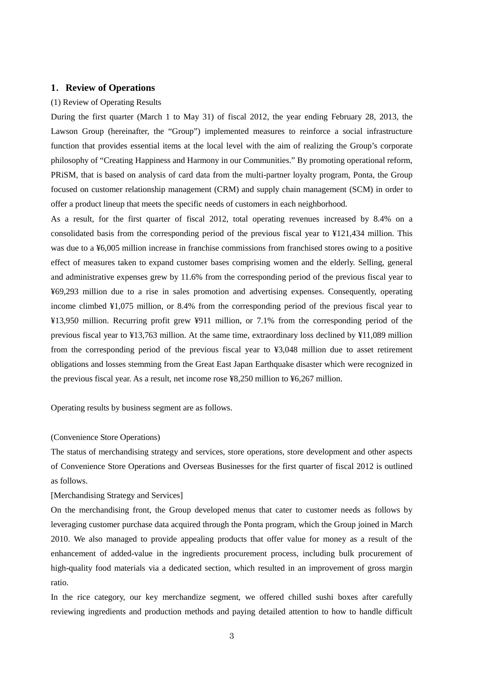## **1**.**Review of Operations**

#### (1) Review of Operating Results

During the first quarter (March 1 to May 31) of fiscal 2012, the year ending February 28, 2013, the Lawson Group (hereinafter, the "Group") implemented measures to reinforce a social infrastructure function that provides essential items at the local level with the aim of realizing the Group's corporate philosophy of "Creating Happiness and Harmony in our Communities." By promoting operational reform, PRiSM, that is based on analysis of card data from the multi-partner loyalty program, Ponta, the Group focused on customer relationship management (CRM) and supply chain management (SCM) in order to offer a product lineup that meets the specific needs of customers in each neighborhood.

As a result, for the first quarter of fiscal 2012, total operating revenues increased by 8.4% on a consolidated basis from the corresponding period of the previous fiscal year to ¥121,434 million. This was due to a ¥6,005 million increase in franchise commissions from franchised stores owing to a positive effect of measures taken to expand customer bases comprising women and the elderly. Selling, general and administrative expenses grew by 11.6% from the corresponding period of the previous fiscal year to ¥69,293 million due to a rise in sales promotion and advertising expenses. Consequently, operating income climbed ¥1,075 million, or 8.4% from the corresponding period of the previous fiscal year to ¥13,950 million. Recurring profit grew ¥911 million, or 7.1% from the corresponding period of the previous fiscal year to ¥13,763 million. At the same time, extraordinary loss declined by ¥11,089 million from the corresponding period of the previous fiscal year to ¥3,048 million due to asset retirement obligations and losses stemming from the Great East Japan Earthquake disaster which were recognized in the previous fiscal year. As a result, net income rose ¥8,250 million to ¥6,267 million.

Operating results by business segment are as follows.

### (Convenience Store Operations)

The status of merchandising strategy and services, store operations, store development and other aspects of Convenience Store Operations and Overseas Businesses for the first quarter of fiscal 2012 is outlined as follows.

[Merchandising Strategy and Services]

On the merchandising front, the Group developed menus that cater to customer needs as follows by leveraging customer purchase data acquired through the Ponta program, which the Group joined in March 2010. We also managed to provide appealing products that offer value for money as a result of the enhancement of added-value in the ingredients procurement process, including bulk procurement of high-quality food materials via a dedicated section, which resulted in an improvement of gross margin ratio.

In the rice category, our key merchandize segment, we offered chilled sushi boxes after carefully reviewing ingredients and production methods and paying detailed attention to how to handle difficult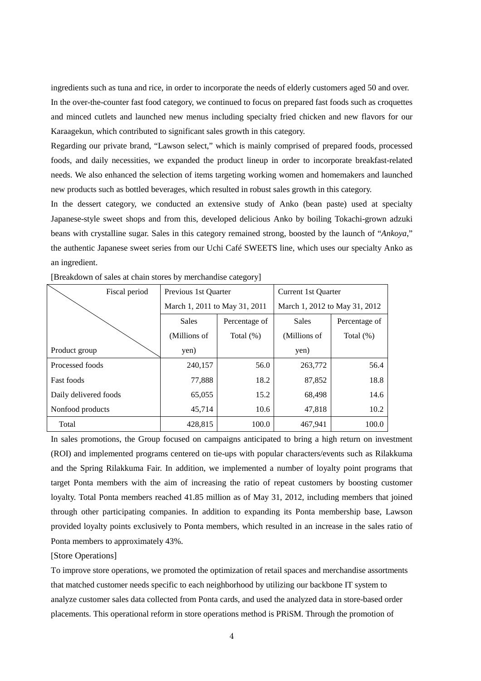ingredients such as tuna and rice, in order to incorporate the needs of elderly customers aged 50 and over. In the over-the-counter fast food category, we continued to focus on prepared fast foods such as croquettes and minced cutlets and launched new menus including specialty fried chicken and new flavors for our Karaagekun, which contributed to significant sales growth in this category.

Regarding our private brand, "Lawson select," which is mainly comprised of prepared foods, processed foods, and daily necessities, we expanded the product lineup in order to incorporate breakfast-related needs. We also enhanced the selection of items targeting working women and homemakers and launched new products such as bottled beverages, which resulted in robust sales growth in this category.

In the dessert category, we conducted an extensive study of Anko (bean paste) used at specialty Japanese-style sweet shops and from this, developed delicious Anko by boiling Tokachi-grown adzuki beans with crystalline sugar. Sales in this category remained strong, boosted by the launch of "*Ankoya*," the authentic Japanese sweet series from our Uchi Café SWEETS line, which uses our specialty Anko as an ingredient.

| Fiscal period         | Previous 1st Quarter          |              | Current 1st Ouarter           |               |  |
|-----------------------|-------------------------------|--------------|-------------------------------|---------------|--|
|                       | March 1, 2011 to May 31, 2011 |              | March 1, 2012 to May 31, 2012 |               |  |
|                       | <b>Sales</b><br>Percentage of |              | <b>Sales</b>                  | Percentage of |  |
|                       | (Millions of                  | Total $(\%)$ | (Millions of                  | Total $(\%)$  |  |
| Product group         | yen)                          |              | yen)                          |               |  |
| Processed foods       | 240,157                       | 56.0         | 263,772                       | 56.4          |  |
| <b>Fast foods</b>     | 77,888                        | 18.2         | 87,852                        | 18.8          |  |
| Daily delivered foods | 65,055                        | 15.2         | 68,498                        | 14.6          |  |
| Nonfood products      | 45,714                        | 10.6         | 47,818                        | 10.2          |  |
| Total                 | 428,815                       | 100.0        | 467,941                       | 100.0         |  |

[Breakdown of sales at chain stores by merchandise category]

In sales promotions, the Group focused on campaigns anticipated to bring a high return on investment (ROI) and implemented programs centered on tie-ups with popular characters/events such as Rilakkuma and the Spring Rilakkuma Fair. In addition, we implemented a number of loyalty point programs that target Ponta members with the aim of increasing the ratio of repeat customers by boosting customer loyalty. Total Ponta members reached 41.85 million as of May 31, 2012, including members that joined through other participating companies. In addition to expanding its Ponta membership base, Lawson provided loyalty points exclusively to Ponta members, which resulted in an increase in the sales ratio of Ponta members to approximately 43%.

## [Store Operations]

To improve store operations, we promoted the optimization of retail spaces and merchandise assortments that matched customer needs specific to each neighborhood by utilizing our backbone IT system to analyze customer sales data collected from Ponta cards, and used the analyzed data in store-based order placements. This operational reform in store operations method is PRiSM. Through the promotion of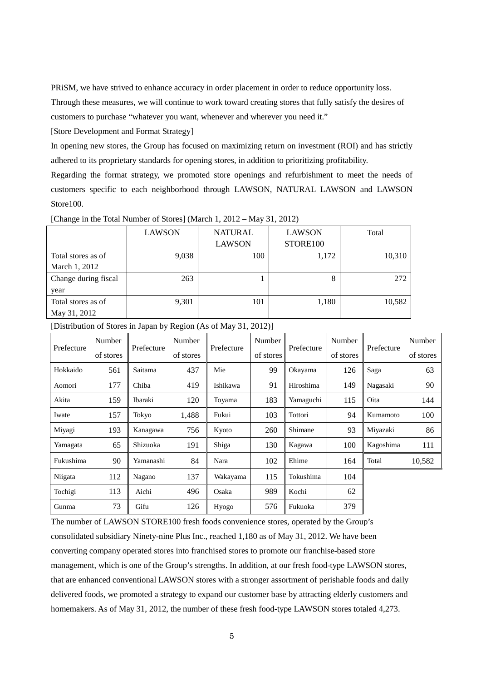PRiSM, we have strived to enhance accuracy in order placement in order to reduce opportunity loss.

Through these measures, we will continue to work toward creating stores that fully satisfy the desires of customers to purchase "whatever you want, whenever and wherever you need it."

[Store Development and Format Strategy]

In opening new stores, the Group has focused on maximizing return on investment (ROI) and has strictly adhered to its proprietary standards for opening stores, in addition to prioritizing profitability.

Regarding the format strategy, we promoted store openings and refurbishment to meet the needs of customers specific to each neighborhood through LAWSON, NATURAL LAWSON and LAWSON Store100.

|                      | <b>LAWSON</b> | <b>NATURAL</b> | <b>LAWSON</b> | Total  |
|----------------------|---------------|----------------|---------------|--------|
|                      |               | <b>LAWSON</b>  | STORE100      |        |
| Total stores as of   | 9,038         | 100            | 1,172         | 10,310 |
| March 1, 2012        |               |                |               |        |
| Change during fiscal | 263           |                | 8             | 272    |
| year                 |               |                |               |        |
| Total stores as of   | 9,301         | 101            | 1,180         | 10,582 |
| May 31, 2012         |               |                |               |        |

[Change in the Total Number of Stores] (March 1, 2012 – May 31, 2012)

[Distribution of Stores in Japan by Region (As of May 31, 2012)]

| Prefecture | Number    |            | Number    | Prefecture | Number    | Prefecture | Number    |            | Number    |
|------------|-----------|------------|-----------|------------|-----------|------------|-----------|------------|-----------|
|            | of stores | Prefecture | of stores |            | of stores |            | of stores | Prefecture | of stores |
| Hokkaido   | 561       | Saitama    | 437       | Mie        | 99        | Okayama    | 126       | Saga       | 63        |
| Aomori     | 177       | Chiba      | 419       | Ishikawa   | 91        | Hiroshima  | 149       | Nagasaki   | 90        |
| Akita      | 159       | Ibaraki    | 120       | Toyama     | 183       | Yamaguchi  | 115       | Oita       | 144       |
| Iwate      | 157       | Tokyo      | 1,488     | Fukui      | 103       | Tottori    | 94        | Kumamoto   | 100       |
| Miyagi     | 193       | Kanagawa   | 756       | Kyoto      | 260       | Shimane    | 93        | Miyazaki   | 86        |
| Yamagata   | 65        | Shizuoka   | 191       | Shiga      | 130       | Kagawa     | 100       | Kagoshima  | 111       |
| Fukushima  | 90        | Yamanashi  | 84        | Nara       | 102       | Ehime      | 164       | Total      | 10,582    |
| Niigata    | 112       | Nagano     | 137       | Wakayama   | 115       | Tokushima  | 104       |            |           |
| Tochigi    | 113       | Aichi      | 496       | Osaka      | 989       | Kochi      | 62        |            |           |
| Gunma      | 73        | Gifu       | 126       | Hyogo      | 576       | Fukuoka    | 379       |            |           |

The number of LAWSON STORE100 fresh foods convenience stores, operated by the Group's consolidated subsidiary Ninety-nine Plus Inc., reached 1,180 as of May 31, 2012. We have been converting company operated stores into franchised stores to promote our franchise-based store management, which is one of the Group's strengths. In addition, at our fresh food-type LAWSON stores, that are enhanced conventional LAWSON stores with a stronger assortment of perishable foods and daily delivered foods, we promoted a strategy to expand our customer base by attracting elderly customers and homemakers. As of May 31, 2012, the number of these fresh food-type LAWSON stores totaled 4,273.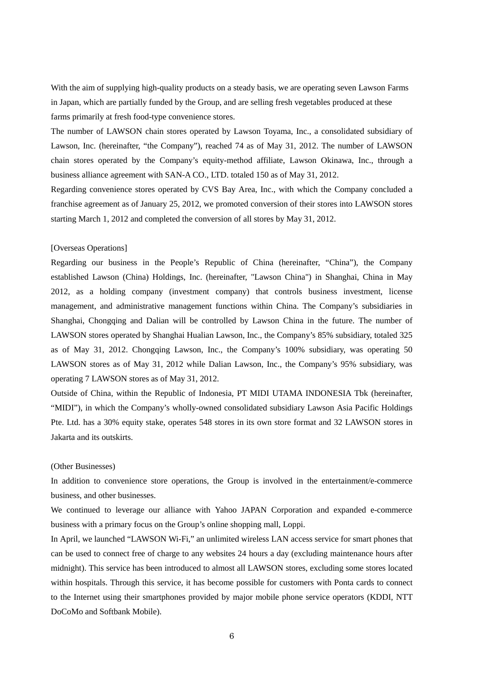With the aim of supplying high-quality products on a steady basis, we are operating seven Lawson Farms in Japan, which are partially funded by the Group, and are selling fresh vegetables produced at these farms primarily at fresh food-type convenience stores.

The number of LAWSON chain stores operated by Lawson Toyama, Inc., a consolidated subsidiary of Lawson, Inc. (hereinafter, "the Company"), reached 74 as of May 31, 2012. The number of LAWSON chain stores operated by the Company's equity-method affiliate, Lawson Okinawa, Inc., through a business alliance agreement with SAN-A CO., LTD. totaled 150 as of May 31, 2012.

Regarding convenience stores operated by CVS Bay Area, Inc., with which the Company concluded a franchise agreement as of January 25, 2012, we promoted conversion of their stores into LAWSON stores starting March 1, 2012 and completed the conversion of all stores by May 31, 2012.

### [Overseas Operations]

Regarding our business in the People's Republic of China (hereinafter, "China"), the Company established Lawson (China) Holdings, Inc. (hereinafter, "Lawson China") in Shanghai, China in May 2012, as a holding company (investment company) that controls business investment, license management, and administrative management functions within China. The Company's subsidiaries in Shanghai, Chongqing and Dalian will be controlled by Lawson China in the future. The number of LAWSON stores operated by Shanghai Hualian Lawson, Inc., the Company's 85% subsidiary, totaled 325 as of May 31, 2012. Chongqing Lawson, Inc., the Company's 100% subsidiary, was operating 50 LAWSON stores as of May 31, 2012 while Dalian Lawson, Inc., the Company's 95% subsidiary, was operating 7 LAWSON stores as of May 31, 2012.

Outside of China, within the Republic of Indonesia, PT MIDI UTAMA INDONESIA Tbk (hereinafter, "MIDI"), in which the Company's wholly-owned consolidated subsidiary Lawson Asia Pacific Holdings Pte. Ltd. has a 30% equity stake, operates 548 stores in its own store format and 32 LAWSON stores in Jakarta and its outskirts.

#### (Other Businesses)

In addition to convenience store operations, the Group is involved in the entertainment/e-commerce business, and other businesses.

We continued to leverage our alliance with Yahoo JAPAN Corporation and expanded e-commerce business with a primary focus on the Group's online shopping mall, Loppi.

In April, we launched "LAWSON Wi-Fi," an unlimited wireless LAN access service for smart phones that can be used to connect free of charge to any websites 24 hours a day (excluding maintenance hours after midnight). This service has been introduced to almost all LAWSON stores, excluding some stores located within hospitals. Through this service, it has become possible for customers with Ponta cards to connect to the Internet using their smartphones provided by major mobile phone service operators (KDDI, NTT DoCoMo and Softbank Mobile).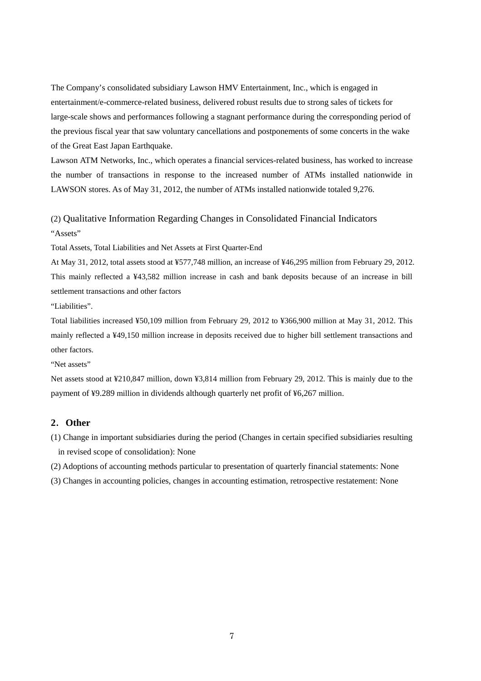The Company's consolidated subsidiary Lawson HMV Entertainment, Inc., which is engaged in entertainment/e-commerce-related business, delivered robust results due to strong sales of tickets for large-scale shows and performances following a stagnant performance during the corresponding period of the previous fiscal year that saw voluntary cancellations and postponements of some concerts in the wake of the Great East Japan Earthquake.

Lawson ATM Networks, Inc., which operates a financial services-related business, has worked to increase the number of transactions in response to the increased number of ATMs installed nationwide in LAWSON stores. As of May 31, 2012, the number of ATMs installed nationwide totaled 9,276.

# (2) Qualitative Information Regarding Changes in Consolidated Financial Indicators "Assets"

Total Assets, Total Liabilities and Net Assets at First Quarter-End

At May 31, 2012, total assets stood at ¥577,748 million, an increase of ¥46,295 million from February 29, 2012. This mainly reflected a ¥43,582 million increase in cash and bank deposits because of an increase in bill settlement transactions and other factors

"Liabilities".

Total liabilities increased ¥50,109 million from February 29, 2012 to ¥366,900 million at May 31, 2012. This mainly reflected a ¥49,150 million increase in deposits received due to higher bill settlement transactions and other factors.

"Net assets"

Net assets stood at ¥210,847 million, down ¥3,814 million from February 29, 2012. This is mainly due to the payment of ¥9.289 million in dividends although quarterly net profit of ¥6,267 million.

## **2**.**Other**

- (1) Change in important subsidiaries during the period (Changes in certain specified subsidiaries resulting in revised scope of consolidation): None
- (2) Adoptions of accounting methods particular to presentation of quarterly financial statements: None
- (3) Changes in accounting policies, changes in accounting estimation, retrospective restatement: None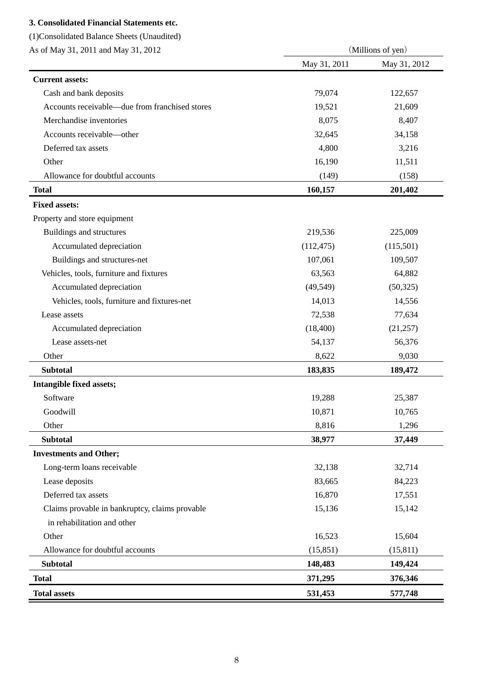## **3. Consolidated Financial Statements etc.**

Other

Allowance for doubtful accounts

| (1) Consolidated Balance Sheets (Unaudited)    |              |                   |  |
|------------------------------------------------|--------------|-------------------|--|
| As of May 31, 2011 and May 31, 2012            |              | (Millions of yen) |  |
|                                                | May 31, 2011 | May 31, 2012      |  |
| <b>Current assets:</b>                         |              |                   |  |
| Cash and bank deposits                         | 79,074       | 122,657           |  |
| Accounts receivable—due from franchised stores | 19,521       | 21,609            |  |
| Merchandise inventories                        | 8,075        | 8,407             |  |
| Accounts receivable-other                      | 32,645       | 34,158            |  |
| Deferred tax assets                            | 4,800        | 3,216             |  |
| Other                                          | 16,190       | 11,511            |  |
| Allowance for doubtful accounts                | (149)        | (158)             |  |
| <b>Total</b>                                   | 160,157      | 201,402           |  |
| <b>Fixed assets:</b>                           |              |                   |  |
| Property and store equipment                   |              |                   |  |
| Buildings and structures                       | 219,536      | 225,009           |  |
| Accumulated depreciation                       | (112, 475)   | (115,501)         |  |
| Buildings and structures-net                   | 107,061      | 109,507           |  |
| Vehicles, tools, furniture and fixtures        | 63,563       | 64,882            |  |
| Accumulated depreciation                       | (49, 549)    | (50, 325)         |  |
| Vehicles, tools, furniture and fixtures-net    | 14,013       | 14,556            |  |
| Lease assets                                   | 72,538       | 77,634            |  |
| Accumulated depreciation                       | (18, 400)    | (21,257)          |  |
| Lease assets-net                               | 54,137       | 56,376            |  |
| Other                                          | 8,622        | 9,030             |  |
| <b>Subtotal</b>                                | 183,835      | 189,472           |  |
| Intangible fixed assets;                       |              |                   |  |
| Software                                       | 19,288       | 25,387            |  |
| Goodwill                                       | 10,871       | 10,765            |  |
| Other                                          | 8,816        | 1,296             |  |
| <b>Subtotal</b>                                | 38,977       | 37,449            |  |
| <b>Investments and Other;</b>                  |              |                   |  |
| Long-term loans receivable                     | 32,138       | 32,714            |  |
| Lease deposits                                 | 83,665       | 84,223            |  |
| Deferred tax assets                            | 16,870       | 17,551            |  |
| Claims provable in bankruptcy, claims provable | 15,136       | 15,142            |  |
| in rehabilitation and other                    |              |                   |  |

 **Subtotal 148,483 149,424 Total 371,295 376,346 Total assets 531,453 577,748**

8

16,523 (15,851)

15,604 (15,811)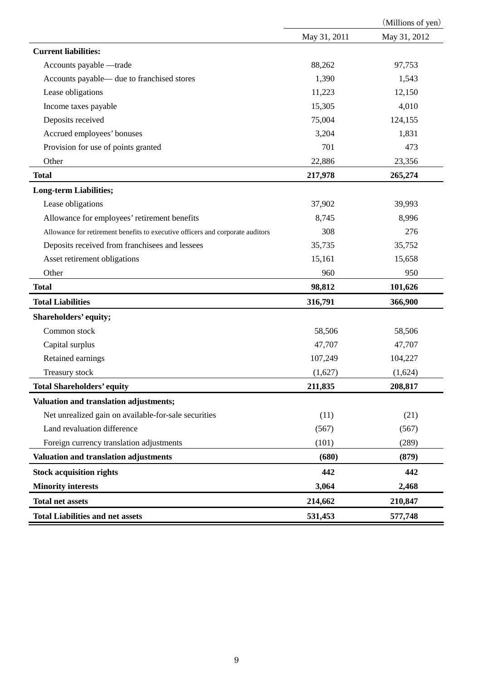|                                                                                |              | (Millions of yen) |
|--------------------------------------------------------------------------------|--------------|-------------------|
|                                                                                | May 31, 2011 | May 31, 2012      |
| <b>Current liabilities:</b>                                                    |              |                   |
| Accounts payable -trade                                                        | 88,262       | 97,753            |
| Accounts payable— due to franchised stores                                     | 1,390        | 1,543             |
| Lease obligations                                                              | 11,223       | 12,150            |
| Income taxes payable                                                           | 15,305       | 4,010             |
| Deposits received                                                              | 75,004       | 124,155           |
| Accrued employees' bonuses                                                     | 3,204        | 1,831             |
| Provision for use of points granted                                            | 701          | 473               |
| Other                                                                          | 22,886       | 23,356            |
| <b>Total</b>                                                                   | 217,978      | 265,274           |
| <b>Long-term Liabilities;</b>                                                  |              |                   |
| Lease obligations                                                              | 37,902       | 39,993            |
| Allowance for employees' retirement benefits                                   | 8,745        | 8,996             |
| Allowance for retirement benefits to executive officers and corporate auditors | 308          | 276               |
| Deposits received from franchisees and lessees                                 | 35,735       | 35,752            |
| Asset retirement obligations                                                   | 15,161       | 15,658            |
| Other                                                                          | 960          | 950               |
| <b>Total</b>                                                                   | 98,812       | 101,626           |
| <b>Total Liabilities</b>                                                       | 316,791      | 366,900           |
| Shareholders' equity;                                                          |              |                   |
| Common stock                                                                   | 58,506       | 58,506            |
| Capital surplus                                                                | 47,707       | 47,707            |
| Retained earnings                                                              | 107,249      | 104,227           |
| Treasury stock                                                                 | (1,627)      | (1,624)           |
| <b>Total Shareholders' equity</b>                                              | 211,835      | 208,817           |
| Valuation and translation adjustments;                                         |              |                   |
| Net unrealized gain on available-for-sale securities                           | (11)         | (21)              |
| Land revaluation difference                                                    | (567)        | (567)             |
| Foreign currency translation adjustments                                       | (101)        | (289)             |
| Valuation and translation adjustments                                          | (680)        | (879)             |
| <b>Stock acquisition rights</b>                                                | 442          | 442               |
| <b>Minority interests</b>                                                      | 3,064        | 2,468             |
| <b>Total net assets</b>                                                        | 214,662      | 210,847           |
| <b>Total Liabilities and net assets</b>                                        | 531,453      | 577,748           |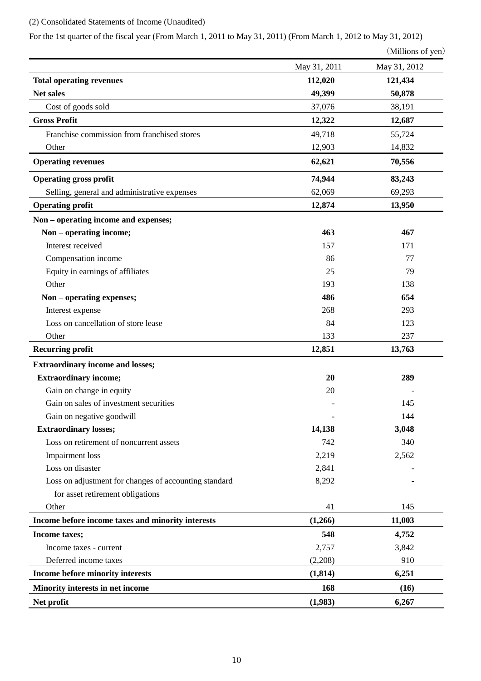## (2) Consolidated Statements of Income (Unaudited)

For the 1st quarter of the fiscal year (From March 1, 2011 to May 31, 2011) (From March 1, 2012 to May 31, 2012)

```
(Millions of yen)
```

|                                                       | May 31, 2011 | $\mu$ munomo or $\mu$ on<br>May 31, 2012 |
|-------------------------------------------------------|--------------|------------------------------------------|
| <b>Total operating revenues</b>                       | 112,020      | 121,434                                  |
| Net sales                                             | 49,399       | 50,878                                   |
| Cost of goods sold                                    | 37,076       | 38,191                                   |
| <b>Gross Profit</b>                                   | 12,322       | 12,687                                   |
| Franchise commission from franchised stores           | 49,718       | 55,724                                   |
| Other                                                 | 12,903       | 14,832                                   |
| <b>Operating revenues</b>                             | 62,621       | 70,556                                   |
| <b>Operating gross profit</b>                         | 74,944       | 83,243                                   |
| Selling, general and administrative expenses          | 62,069       | 69,293                                   |
| <b>Operating profit</b>                               | 12,874       | 13,950                                   |
| Non – operating income and expenses;                  |              |                                          |
| Non – operating income;                               | 463          | 467                                      |
| Interest received                                     | 157          | 171                                      |
| Compensation income                                   | 86           | 77                                       |
| Equity in earnings of affiliates                      | 25           | 79                                       |
| Other                                                 | 193          | 138                                      |
| Non - operating expenses;                             | 486          | 654                                      |
| Interest expense                                      | 268          | 293                                      |
| Loss on cancellation of store lease                   | 84           | 123                                      |
| Other                                                 | 133          | 237                                      |
| <b>Recurring profit</b>                               | 12,851       | 13,763                                   |
| <b>Extraordinary income and losses;</b>               |              |                                          |
| <b>Extraordinary income;</b>                          | 20           | 289                                      |
| Gain on change in equity                              | 20           |                                          |
| Gain on sales of investment securities                |              | 145                                      |
| Gain on negative goodwill                             |              | 144                                      |
| <b>Extraordinary losses;</b>                          | 14,138       | 3,048                                    |
| Loss on retirement of noncurrent assets               | 742          | 340                                      |
| <b>Impairment</b> loss                                | 2,219        | 2,562                                    |
| Loss on disaster                                      | 2,841        |                                          |
| Loss on adjustment for changes of accounting standard | 8,292        |                                          |
| for asset retirement obligations                      |              |                                          |
| Other                                                 | 41           | 145                                      |
| Income before income taxes and minority interests     | (1,266)      | 11,003                                   |
| Income taxes;                                         | 548          | 4,752                                    |
| Income taxes - current                                | 2,757        | 3,842                                    |
| Deferred income taxes                                 | (2,208)      | 910                                      |
| Income before minority interests                      | (1, 814)     | 6,251                                    |
| Minority interests in net income                      | 168          | (16)                                     |
| Net profit                                            | (1,983)      | 6,267                                    |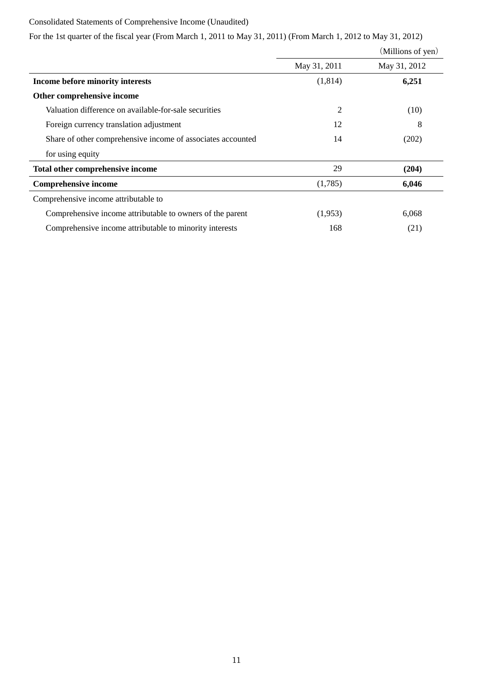# Consolidated Statements of Comprehensive Income (Unaudited)

|  |  | For the 1st quarter of the fiscal year (From March 1, 2011 to May 31, 2011) (From March 1, 2012 to May 31, 2012) |  |  |  |  |
|--|--|------------------------------------------------------------------------------------------------------------------|--|--|--|--|

|                                                             |              | (Millions of yen) |
|-------------------------------------------------------------|--------------|-------------------|
|                                                             | May 31, 2011 | May 31, 2012      |
| Income before minority interests                            | (1,814)      | 6,251             |
| Other comprehensive income                                  |              |                   |
| Valuation difference on available-for-sale securities       | 2            | (10)              |
| Foreign currency translation adjustment                     | 12           | 8                 |
| Share of other comprehensive income of associates accounted | 14           | (202)             |
| for using equity                                            |              |                   |
| Total other comprehensive income                            | 29           | (204)             |
| <b>Comprehensive income</b>                                 | (1,785)      | 6,046             |
| Comprehensive income attributable to                        |              |                   |
| Comprehensive income attributable to owners of the parent   | (1,953)      | 6,068             |
| Comprehensive income attributable to minority interests     | 168          | (21)              |